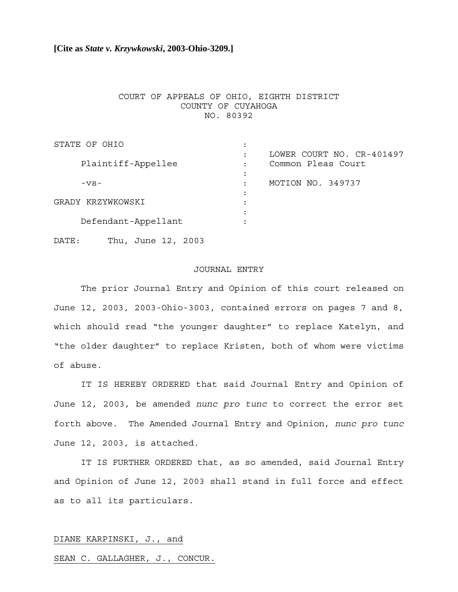## **[Cite as** *State v. Krzywkowski***, 2003-Ohio-3209.]**

## COURT OF APPEALS OF OHIO, EIGHTH DISTRICT COUNTY OF CUYAHOGA NO. 80392

| STATE OF OHIO       |                           |
|---------------------|---------------------------|
|                     | LOWER COURT NO. CR-401497 |
| Plaintiff-Appellee  | Common Pleas Court        |
|                     |                           |
| $-VS-$              | MOTION NO. 349737         |
|                     |                           |
| GRADY KRZYWKOWSKI   |                           |
|                     |                           |
| Defendant-Appellant |                           |
|                     |                           |

DATE: Thu, June 12, 2003

## JOURNAL ENTRY

The prior Journal Entry and Opinion of this court released on June 12, 2003, 2003-Ohio-3003, contained errors on pages 7 and 8, which should read "the younger daughter" to replace Katelyn, and "the older daughter" to replace Kristen, both of whom were victims of abuse.

IT IS HEREBY ORDERED that said Journal Entry and Opinion of June 12, 2003, be amended *nunc pro tunc* to correct the error set forth above. The Amended Journal Entry and Opinion, *nunc pro tunc* June 12, 2003, is attached.

IT IS FURTHER ORDERED that, as so amended, said Journal Entry and Opinion of June 12, 2003 shall stand in full force and effect as to all its particulars.

#### DIANE KARPINSKI, J., and

### SEAN C. GALLAGHER, J., CONCUR.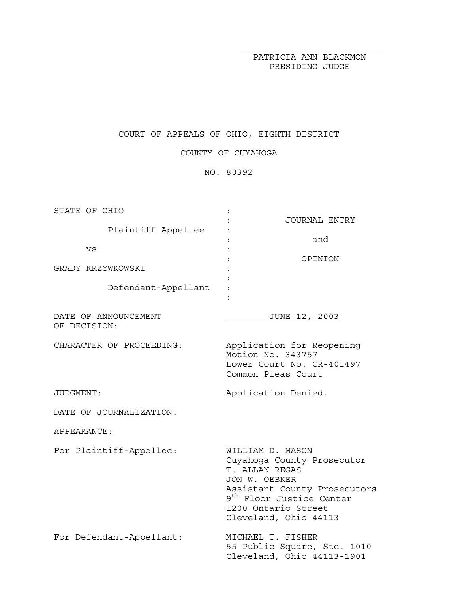PATRICIA ANN BLACKMON PRESIDING JUDGE

# COURT OF APPEALS OF OHIO, EIGHTH DISTRICT

COUNTY OF CUYAHOGA

NO. 80392

| STATE OF OHIO            |                                                                      |
|--------------------------|----------------------------------------------------------------------|
|                          | JOURNAL ENTRY                                                        |
| Plaintiff-Appellee       |                                                                      |
|                          | and                                                                  |
| $-VS-$                   | OPINION                                                              |
| GRADY KRZYWKOWSKI        |                                                                      |
|                          |                                                                      |
| Defendant-Appellant      |                                                                      |
|                          |                                                                      |
|                          |                                                                      |
| DATE OF ANNOUNCEMENT     | JUNE 12, 2003                                                        |
| OF DECISION:             |                                                                      |
|                          |                                                                      |
| CHARACTER OF PROCEEDING: | Application for Reopening<br>Motion No. 343757                       |
|                          | Lower Court No. CR-401497                                            |
|                          | Common Pleas Court                                                   |
|                          |                                                                      |
| JUDGMENT:                | Application Denied.                                                  |
|                          |                                                                      |
|                          |                                                                      |
| DATE OF JOURNALIZATION:  |                                                                      |
|                          |                                                                      |
| APPEARANCE:              |                                                                      |
|                          |                                                                      |
| For Plaintiff-Appellee:  | WILLIAM D. MASON                                                     |
|                          | Cuyahoga County Prosecutor                                           |
|                          | T. ALLAN REGAS<br>JON W. OEBKER                                      |
|                          |                                                                      |
|                          | Assistant County Prosecutors<br>9 <sup>th</sup> Floor Justice Center |
|                          | 1200 Ontario Street                                                  |
|                          | Cleveland, Ohio 44113                                                |
|                          |                                                                      |
| For Defendant-Appellant: | MICHAEL T. FISHER                                                    |
|                          | 55 Public Square, Ste. 1010<br>Cleveland, Ohio 44113-1901            |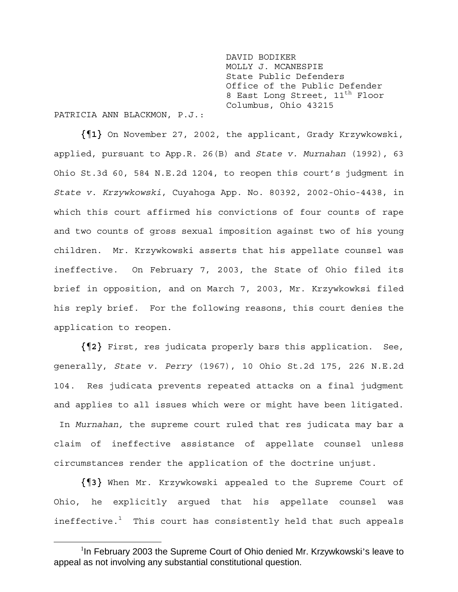DAVID BODIKER MOLLY J. MCANESPIE State Public Defenders Office of the Public Defender 8 East Long Street, 11<sup>th</sup> Floor Columbus, Ohio 43215

PATRICIA ANN BLACKMON, P.J.:

**{¶1}** On November 27, 2002, the applicant, Grady Krzywkowski, applied, pursuant to App.R. 26(B) and *State v. Murnahan* (1992), 63 Ohio St.3d 60, 584 N.E.2d 1204, to reopen this court's judgment in *State v. Krzywkowski*, Cuyahoga App. No. 80392, 2002-Ohio-4438, in which this court affirmed his convictions of four counts of rape and two counts of gross sexual imposition against two of his young children. Mr. Krzywkowski asserts that his appellate counsel was ineffective. On February 7, 2003, the State of Ohio filed its brief in opposition, and on March 7, 2003, Mr. Krzywkowksi filed his reply brief. For the following reasons, this court denies the application to reopen.

**{¶2}** First, res judicata properly bars this application. See, generally, *State v. Perry* (1967), 10 Ohio St.2d 175, 226 N.E.2d 104. Res judicata prevents repeated attacks on a final judgment and applies to all issues which were or might have been litigated. In *Murnahan,* the supreme court ruled that res judicata may bar a claim of ineffective assistance of appellate counsel unless circumstances render the application of the doctrine unjust.

**{¶3}** When Mr. Krzywkowski appealed to the Supreme Court of Ohio, he explicitly argued that his appellate counsel was ineffective. $1$  This court has consistently held that such appeals

 $\frac{1}{1}$ <sup>1</sup>In February 2003 the Supreme Court of Ohio denied Mr. Krzywkowski's leave to appeal as not involving any substantial constitutional question.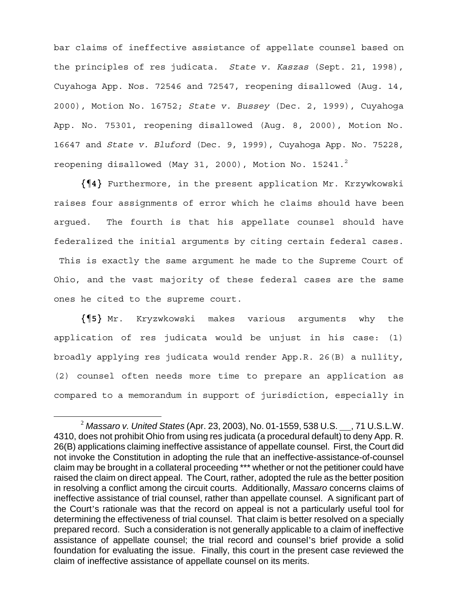bar claims of ineffective assistance of appellate counsel based on the principles of res judicata. *State v. Kaszas* (Sept. 21, 1998), Cuyahoga App. Nos. 72546 and 72547, reopening disallowed (Aug. 14, 2000), Motion No. 16752; *State v. Bussey* (Dec. 2, 1999), Cuyahoga App. No. 75301, reopening disallowed (Aug. 8, 2000), Motion No. 16647 and *State v. Bluford* (Dec. 9, 1999), Cuyahoga App. No. 75228, reopening disallowed (May 31, 2000), Motion No. 15241. $^2$ 

**{¶4}** Furthermore, in the present application Mr. Krzywkowski raises four assignments of error which he claims should have been argued. The fourth is that his appellate counsel should have federalized the initial arguments by citing certain federal cases. This is exactly the same argument he made to the Supreme Court of

Ohio, and the vast majority of these federal cases are the same ones he cited to the supreme court.

**{¶5}** Mr. Kryzwkowski makes various arguments why the application of res judicata would be unjust in his case: (1) broadly applying res judicata would render App.R. 26(B) a nullity, (2) counsel often needs more time to prepare an application as compared to a memorandum in support of jurisdiction, especially in

<sup>&</sup>lt;sup>2</sup> Massaro v. United States (Apr. 23, 2003), No. 01-1559, 538 U.S. <sub>15</sub>, 71 U.S.L.W. 4310, does not prohibit Ohio from using res judicata (a procedural default) to deny App. R. 26(B) applications claiming ineffective assistance of appellate counsel. First, the Court did not invoke the Constitution in adopting the rule that an ineffective-assistance-of-counsel claim may be brought in a collateral proceeding \*\*\* whether or not the petitioner could have raised the claim on direct appeal. The Court, rather, adopted the rule as the better position in resolving a conflict among the circuit courts. Additionally, *Massaro* concerns claims of ineffective assistance of trial counsel, rather than appellate counsel. A significant part of the Court's rationale was that the record on appeal is not a particularly useful tool for determining the effectiveness of trial counsel. That claim is better resolved on a specially prepared record. Such a consideration is not generally applicable to a claim of ineffective assistance of appellate counsel; the trial record and counsel's brief provide a solid foundation for evaluating the issue. Finally, this court in the present case reviewed the claim of ineffective assistance of appellate counsel on its merits.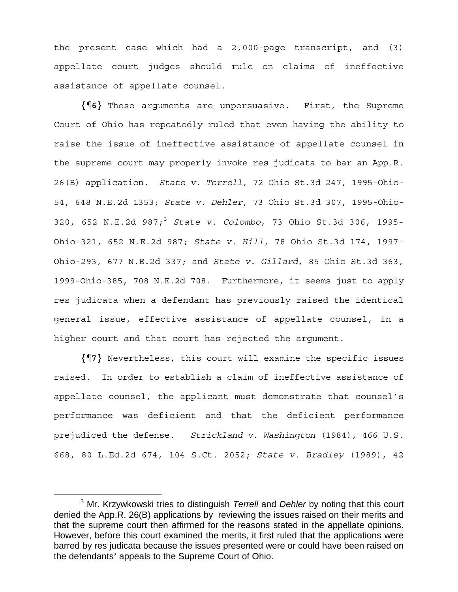the present case which had a 2,000-page transcript, and (3) appellate court judges should rule on claims of ineffective assistance of appellate counsel.

**{¶6}** These arguments are unpersuasive. First, the Supreme Court of Ohio has repeatedly ruled that even having the ability to raise the issue of ineffective assistance of appellate counsel in the supreme court may properly invoke res judicata to bar an App.R. 26(B) application. *State v. Terrell*, 72 Ohio St.3d 247, 1995-Ohio-54, 648 N.E.2d 1353; *State v. Dehler*, 73 Ohio St.3d 307, 1995-Ohio-320, 652 N.E.2d 987;3 *State v. Colombo*, 73 Ohio St.3d 306, 1995- Ohio-321, 652 N.E.2d 987; *State v. Hill*, 78 Ohio St.3d 174, 1997- Ohio-293, 677 N.E.2d 337; and *State v. Gillard*, 85 Ohio St.3d 363, 1999-Ohio-385, 708 N.E.2d 708. Furthermore, it seems just to apply res judicata when a defendant has previously raised the identical general issue, effective assistance of appellate counsel, in a higher court and that court has rejected the argument.

**{¶7}** Nevertheless, this court will examine the specific issues raised. In order to establish a claim of ineffective assistance of appellate counsel, the applicant must demonstrate that counsel's performance was deficient and that the deficient performance prejudiced the defense. *Strickland v. Washington* (1984), 466 U.S. 668, 80 L.Ed.2d 674, 104 S.Ct. 2052; *State v. Bradley* (1989), 42

 $\frac{1}{3}$ <sup>3</sup> Mr. Krzywkowski tries to distinguish *Terrell* and *Dehler* by noting that this court denied the App.R. 26(B) applications by reviewing the issues raised on their merits and that the supreme court then affirmed for the reasons stated in the appellate opinions. However, before this court examined the merits, it first ruled that the applications were barred by res judicata because the issues presented were or could have been raised on the defendants' appeals to the Supreme Court of Ohio.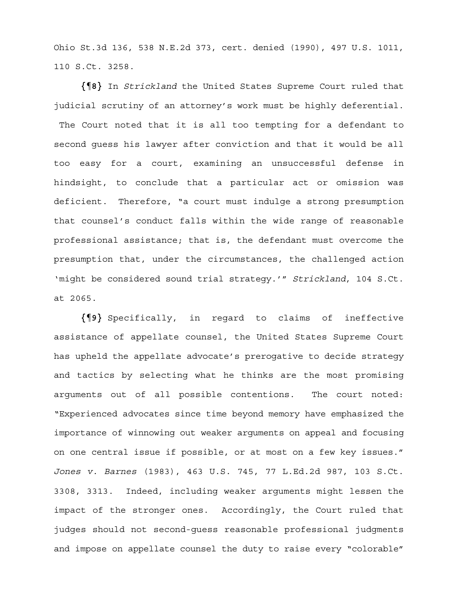Ohio St.3d 136, 538 N.E.2d 373, cert. denied (1990), 497 U.S. 1011, 110 S.Ct. 3258.

**{¶8}** In *Strickland* the United States Supreme Court ruled that judicial scrutiny of an attorney's work must be highly deferential. The Court noted that it is all too tempting for a defendant to second guess his lawyer after conviction and that it would be all too easy for a court, examining an unsuccessful defense in hindsight, to conclude that a particular act or omission was deficient. Therefore, "a court must indulge a strong presumption that counsel's conduct falls within the wide range of reasonable professional assistance; that is, the defendant must overcome the presumption that, under the circumstances, the challenged action 'might be considered sound trial strategy.'" *Strickland*, 104 S.Ct. at 2065.

**{¶9}** Specifically, in regard to claims of ineffective assistance of appellate counsel, the United States Supreme Court has upheld the appellate advocate's prerogative to decide strategy and tactics by selecting what he thinks are the most promising arguments out of all possible contentions. The court noted: "Experienced advocates since time beyond memory have emphasized the importance of winnowing out weaker arguments on appeal and focusing on one central issue if possible, or at most on a few key issues." *Jones v. Barnes* (1983), 463 U.S. 745, 77 L.Ed.2d 987, 103 S.Ct. 3308, 3313. Indeed, including weaker arguments might lessen the impact of the stronger ones. Accordingly, the Court ruled that judges should not second-guess reasonable professional judgments and impose on appellate counsel the duty to raise every "colorable"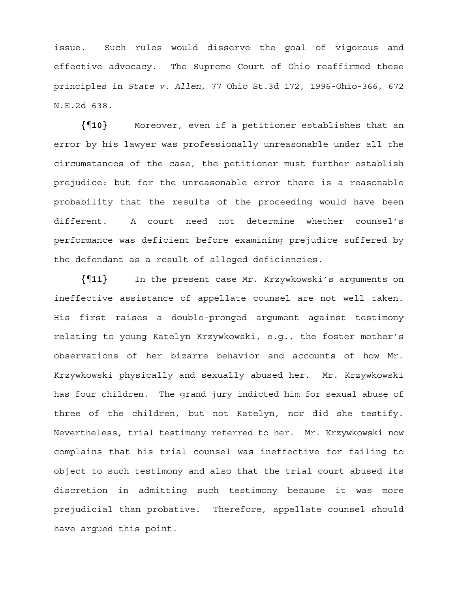issue. Such rules would disserve the goal of vigorous and effective advocacy. The Supreme Court of Ohio reaffirmed these principles in *State v. Allen*, 77 Ohio St.3d 172, 1996-Ohio-366, 672 N.E.2d 638.

**{¶10}** Moreover, even if a petitioner establishes that an error by his lawyer was professionally unreasonable under all the circumstances of the case, the petitioner must further establish prejudice: but for the unreasonable error there is a reasonable probability that the results of the proceeding would have been different. A court need not determine whether counsel's performance was deficient before examining prejudice suffered by the defendant as a result of alleged deficiencies.

**{¶11}** In the present case Mr. Krzywkowski's arguments on ineffective assistance of appellate counsel are not well taken. His first raises a double-pronged argument against testimony relating to young Katelyn Krzywkowski, e.g., the foster mother's observations of her bizarre behavior and accounts of how Mr. Krzywkowski physically and sexually abused her. Mr. Krzywkowski has four children. The grand jury indicted him for sexual abuse of three of the children, but not Katelyn, nor did she testify. Nevertheless, trial testimony referred to her. Mr. Krzywkowski now complains that his trial counsel was ineffective for failing to object to such testimony and also that the trial court abused its discretion in admitting such testimony because it was more prejudicial than probative. Therefore, appellate counsel should have argued this point.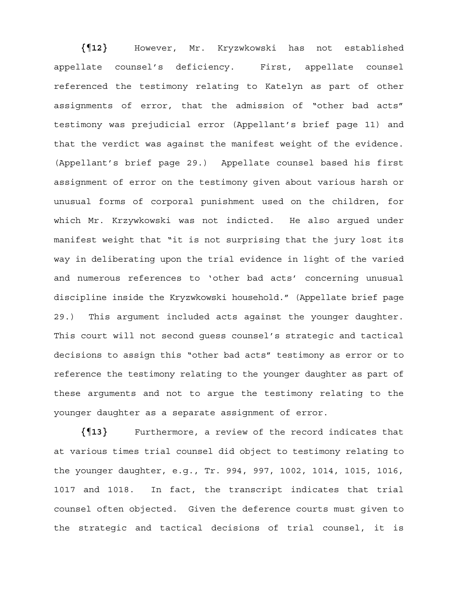**{¶12}** However, Mr. Kryzwkowski has not established appellate counsel's deficiency. First, appellate counsel referenced the testimony relating to Katelyn as part of other assignments of error, that the admission of "other bad acts" testimony was prejudicial error (Appellant's brief page 11) and that the verdict was against the manifest weight of the evidence. (Appellant's brief page 29.) Appellate counsel based his first assignment of error on the testimony given about various harsh or unusual forms of corporal punishment used on the children, for which Mr. Krzywkowski was not indicted. He also argued under manifest weight that "it is not surprising that the jury lost its way in deliberating upon the trial evidence in light of the varied and numerous references to 'other bad acts' concerning unusual discipline inside the Kryzwkowski household." (Appellate brief page 29.) This argument included acts against the younger daughter. This court will not second guess counsel's strategic and tactical decisions to assign this "other bad acts" testimony as error or to reference the testimony relating to the younger daughter as part of these arguments and not to argue the testimony relating to the younger daughter as a separate assignment of error.

**{¶13}** Furthermore, a review of the record indicates that at various times trial counsel did object to testimony relating to the younger daughter, e.g., Tr. 994, 997, 1002, 1014, 1015, 1016, 1017 and 1018. In fact, the transcript indicates that trial counsel often objected. Given the deference courts must given to the strategic and tactical decisions of trial counsel, it is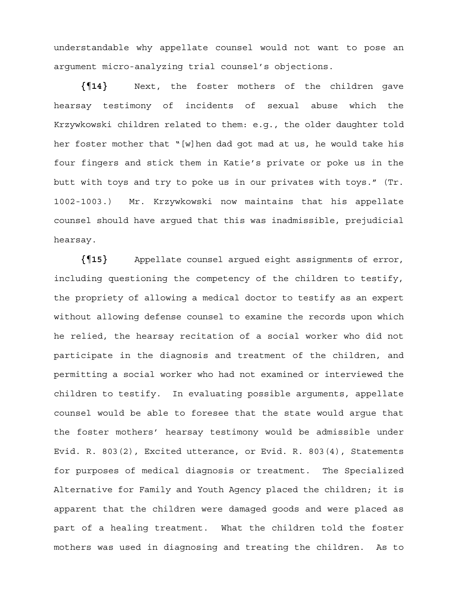understandable why appellate counsel would not want to pose an argument micro-analyzing trial counsel's objections.

**{¶14}** Next, the foster mothers of the children gave hearsay testimony of incidents of sexual abuse which the Krzywkowski children related to them: e.g., the older daughter told her foster mother that "[w]hen dad got mad at us, he would take his four fingers and stick them in Katie's private or poke us in the butt with toys and try to poke us in our privates with toys." (Tr. 1002-1003.) Mr. Krzywkowski now maintains that his appellate counsel should have argued that this was inadmissible, prejudicial hearsay.

**{¶15}** Appellate counsel argued eight assignments of error, including questioning the competency of the children to testify, the propriety of allowing a medical doctor to testify as an expert without allowing defense counsel to examine the records upon which he relied, the hearsay recitation of a social worker who did not participate in the diagnosis and treatment of the children, and permitting a social worker who had not examined or interviewed the children to testify. In evaluating possible arguments, appellate counsel would be able to foresee that the state would argue that the foster mothers' hearsay testimony would be admissible under Evid. R. 803(2), Excited utterance, or Evid. R. 803(4), Statements for purposes of medical diagnosis or treatment. The Specialized Alternative for Family and Youth Agency placed the children; it is apparent that the children were damaged goods and were placed as part of a healing treatment. What the children told the foster mothers was used in diagnosing and treating the children. As to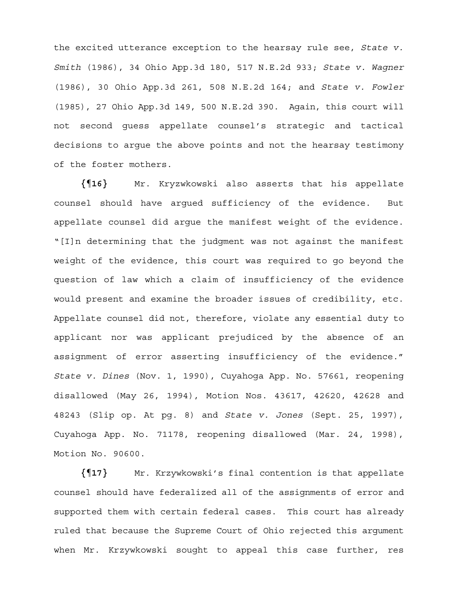the excited utterance exception to the hearsay rule see, *State v. Smith* (1986), 34 Ohio App.3d 180, 517 N.E.2d 933; *State v. Wagner* (1986), 30 Ohio App.3d 261, 508 N.E.2d 164; and *State v. Fowler* (1985), 27 Ohio App.3d 149, 500 N.E.2d 390. Again, this court will not second guess appellate counsel's strategic and tactical decisions to argue the above points and not the hearsay testimony of the foster mothers.

**{¶16}** Mr. Kryzwkowski also asserts that his appellate counsel should have argued sufficiency of the evidence. But appellate counsel did argue the manifest weight of the evidence. "[I]n determining that the judgment was not against the manifest weight of the evidence, this court was required to go beyond the question of law which a claim of insufficiency of the evidence would present and examine the broader issues of credibility, etc. Appellate counsel did not, therefore, violate any essential duty to applicant nor was applicant prejudiced by the absence of an assignment of error asserting insufficiency of the evidence." *State v. Dines* (Nov. 1, 1990), Cuyahoga App. No. 57661, reopening disallowed (May 26, 1994), Motion Nos. 43617, 42620, 42628 and 48243 (Slip op. At pg. 8) and *State v. Jones* (Sept. 25, 1997), Cuyahoga App. No. 71178, reopening disallowed (Mar. 24, 1998), Motion No. 90600.

**{¶17}** Mr. Krzywkowski's final contention is that appellate counsel should have federalized all of the assignments of error and supported them with certain federal cases. This court has already ruled that because the Supreme Court of Ohio rejected this argument when Mr. Krzywkowski sought to appeal this case further, res